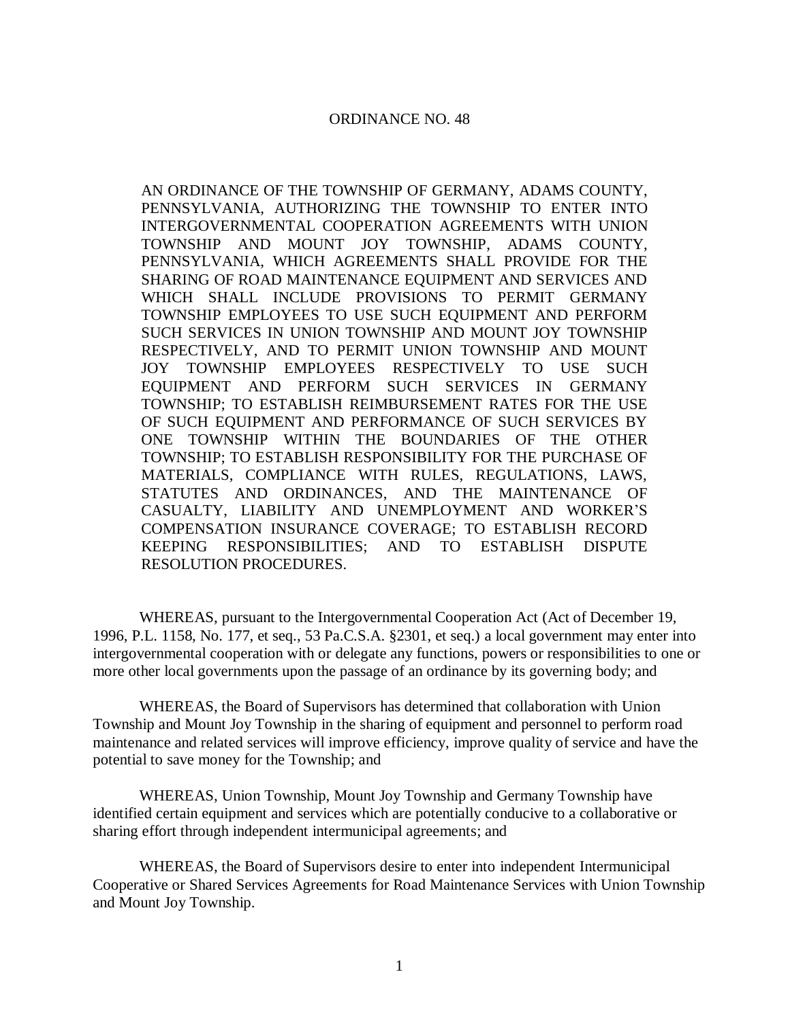AN ORDINANCE OF THE TOWNSHIP OF GERMANY, ADAMS COUNTY, PENNSYLVANIA, AUTHORIZING THE TOWNSHIP TO ENTER INTO INTERGOVERNMENTAL COOPERATION AGREEMENTS WITH UNION TOWNSHIP AND MOUNT JOY TOWNSHIP, ADAMS COUNTY, PENNSYLVANIA, WHICH AGREEMENTS SHALL PROVIDE FOR THE SHARING OF ROAD MAINTENANCE EQUIPMENT AND SERVICES AND WHICH SHALL INCLUDE PROVISIONS TO PERMIT GERMANY TOWNSHIP EMPLOYEES TO USE SUCH EQUIPMENT AND PERFORM SUCH SERVICES IN UNION TOWNSHIP AND MOUNT JOY TOWNSHIP RESPECTIVELY, AND TO PERMIT UNION TOWNSHIP AND MOUNT JOY TOWNSHIP EMPLOYEES RESPECTIVELY TO USE SUCH EQUIPMENT AND PERFORM SUCH SERVICES IN GERMANY TOWNSHIP; TO ESTABLISH REIMBURSEMENT RATES FOR THE USE OF SUCH EQUIPMENT AND PERFORMANCE OF SUCH SERVICES BY ONE TOWNSHIP WITHIN THE BOUNDARIES OF THE OTHER TOWNSHIP; TO ESTABLISH RESPONSIBILITY FOR THE PURCHASE OF MATERIALS, COMPLIANCE WITH RULES, REGULATIONS, LAWS, STATUTES AND ORDINANCES, AND THE MAINTENANCE OF CASUALTY, LIABILITY AND UNEMPLOYMENT AND WORKER'S COMPENSATION INSURANCE COVERAGE; TO ESTABLISH RECORD KEEPING RESPONSIBILITIES; AND TO ESTABLISH DISPUTE RESOLUTION PROCEDURES.

WHEREAS, pursuant to the Intergovernmental Cooperation Act (Act of December 19, 1996, P.L. 1158, No. 177, et seq., 53 Pa.C.S.A. §2301, et seq.) a local government may enter into intergovernmental cooperation with or delegate any functions, powers or responsibilities to one or more other local governments upon the passage of an ordinance by its governing body; and

WHEREAS, the Board of Supervisors has determined that collaboration with Union Township and Mount Joy Township in the sharing of equipment and personnel to perform road maintenance and related services will improve efficiency, improve quality of service and have the potential to save money for the Township; and

WHEREAS, Union Township, Mount Joy Township and Germany Township have identified certain equipment and services which are potentially conducive to a collaborative or sharing effort through independent intermunicipal agreements; and

WHEREAS, the Board of Supervisors desire to enter into independent Intermunicipal Cooperative or Shared Services Agreements for Road Maintenance Services with Union Township and Mount Joy Township.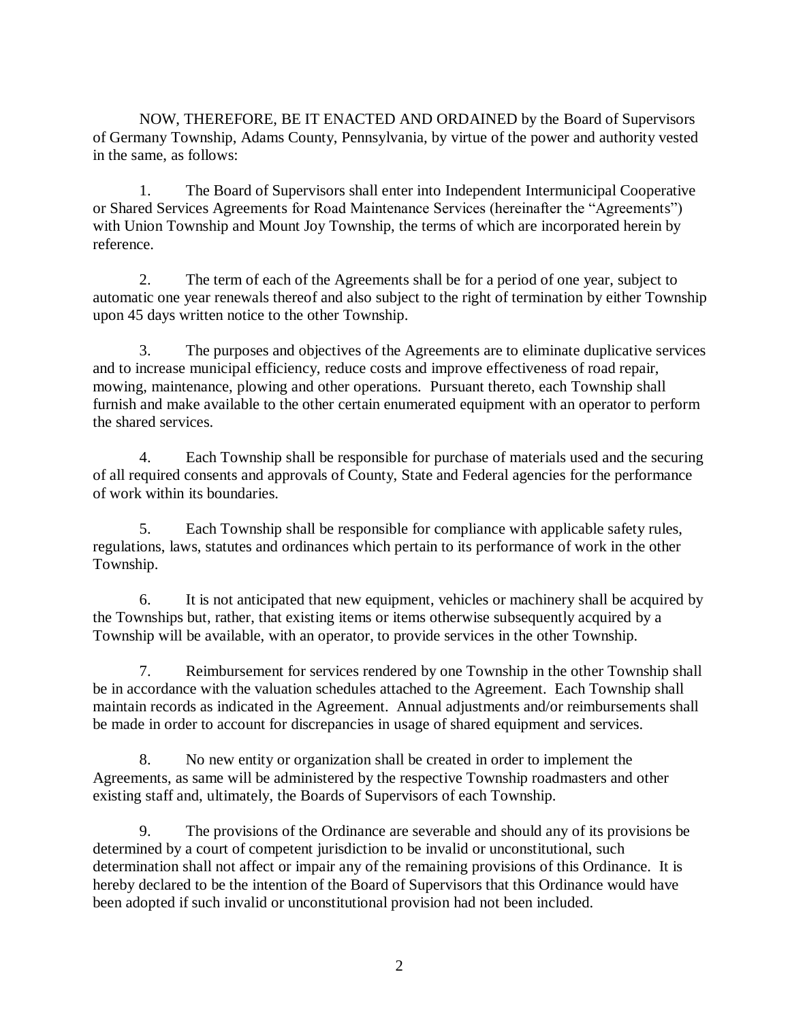NOW, THEREFORE, BE IT ENACTED AND ORDAINED by the Board of Supervisors of Germany Township, Adams County, Pennsylvania, by virtue of the power and authority vested in the same, as follows:

1. The Board of Supervisors shall enter into Independent Intermunicipal Cooperative or Shared Services Agreements for Road Maintenance Services (hereinafter the "Agreements") with Union Township and Mount Joy Township, the terms of which are incorporated herein by reference.

2. The term of each of the Agreements shall be for a period of one year, subject to automatic one year renewals thereof and also subject to the right of termination by either Township upon 45 days written notice to the other Township.

3. The purposes and objectives of the Agreements are to eliminate duplicative services and to increase municipal efficiency, reduce costs and improve effectiveness of road repair, mowing, maintenance, plowing and other operations. Pursuant thereto, each Township shall furnish and make available to the other certain enumerated equipment with an operator to perform the shared services.

4. Each Township shall be responsible for purchase of materials used and the securing of all required consents and approvals of County, State and Federal agencies for the performance of work within its boundaries.

5. Each Township shall be responsible for compliance with applicable safety rules, regulations, laws, statutes and ordinances which pertain to its performance of work in the other Township.

6. It is not anticipated that new equipment, vehicles or machinery shall be acquired by the Townships but, rather, that existing items or items otherwise subsequently acquired by a Township will be available, with an operator, to provide services in the other Township.

7. Reimbursement for services rendered by one Township in the other Township shall be in accordance with the valuation schedules attached to the Agreement. Each Township shall maintain records as indicated in the Agreement. Annual adjustments and/or reimbursements shall be made in order to account for discrepancies in usage of shared equipment and services.

8. No new entity or organization shall be created in order to implement the Agreements, as same will be administered by the respective Township roadmasters and other existing staff and, ultimately, the Boards of Supervisors of each Township.

9. The provisions of the Ordinance are severable and should any of its provisions be determined by a court of competent jurisdiction to be invalid or unconstitutional, such determination shall not affect or impair any of the remaining provisions of this Ordinance. It is hereby declared to be the intention of the Board of Supervisors that this Ordinance would have been adopted if such invalid or unconstitutional provision had not been included.